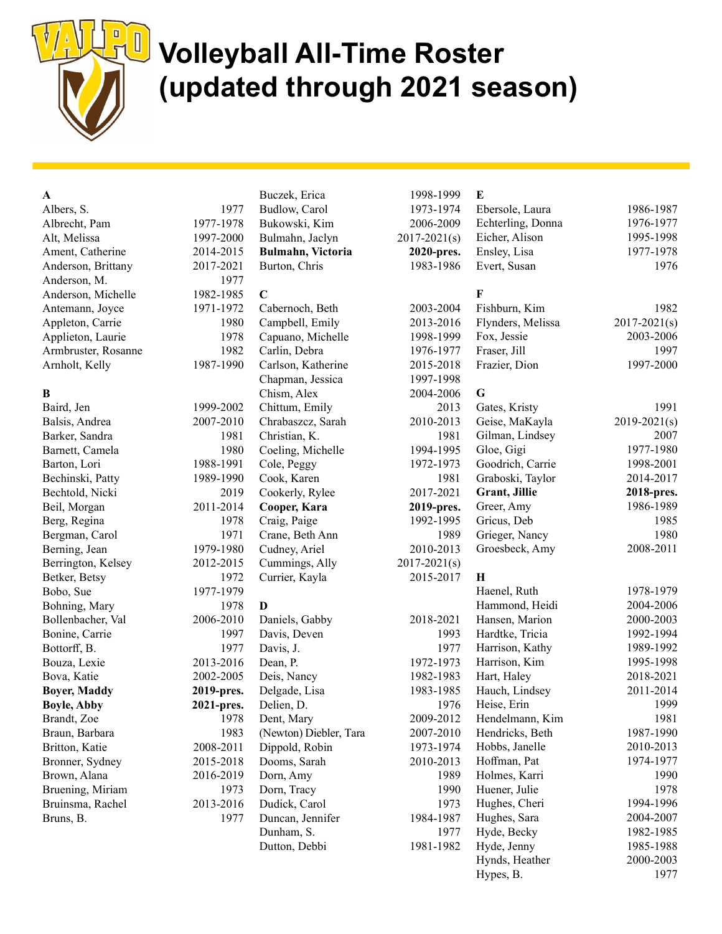

## **U** Volleyball All-Time Roster (updated through 2021 season)

### $\mathbf{A}$

| Albers, S.          | 1977      |
|---------------------|-----------|
| Albrecht, Pam       | 1977-1978 |
| Alt, Melissa        | 1997-2000 |
| Ament, Catherine    | 2014-2015 |
| Anderson, Brittany  | 2017-2021 |
| Anderson, M.        | 1977      |
| Anderson, Michelle  | 1982-1985 |
| Antemann, Joyce     | 1971-1972 |
| Appleton, Carrie    | 1980      |
| Applieton, Laurie   | 1978      |
| Armbruster, Rosanne | 1982      |
| Arnholt, Kelly      | 1987-1990 |
|                     |           |

### B

| Baird, Jen          | 1999-2002  |
|---------------------|------------|
| Balsis, Andrea      | 2007-2010  |
| Barker, Sandra      | 1981       |
| Barnett, Camela     | 1980       |
| Barton, Lori        | 1988-1991  |
| Bechinski, Patty    | 1989-1990  |
| Bechtold, Nicki     | 2019       |
| Beil, Morgan        | 2011-2014  |
| Berg, Regina        | 1978       |
| Bergman, Carol      | 1971       |
| Berning, Jean       | 1979-1980  |
| Berrington, Kelsey  | 2012-2015  |
| Betker, Betsy       | 1972       |
| Bobo, Sue           | 1977-1979  |
| Bohning, Mary       | 1978       |
| Bollenbacher, Val   | 2006-2010  |
| Bonine, Carrie      | 1997       |
| Bottorff, B.        | 1977       |
| Bouza, Lexie        | 2013-2016  |
| Bova, Katie         | 2002-2005  |
| <b>Boyer, Maddy</b> | 2019-pres. |
| <b>Boyle, Abby</b>  | 2021-pres. |
| Brandt, Zoe         | 1978       |
| Braun, Barbara      | 1983       |
| Britton, Katie      | 2008-2011  |
| Bronner, Sydney     | 2015-2018  |
| Brown, Alana        | 2016-2019  |
| Bruening, Miriam    | 1973       |
| Bruinsma, Rachel    | 2013-2016  |
| Bruns, B.           | 1977       |
|                     |            |

|            | Buczek, Erica          | 1998-1999        |
|------------|------------------------|------------------|
| 1977       | Budlow, Carol          | 1973-1974        |
| 1977-1978  | Bukowski, Kim          | 2006-2009        |
| 1997-2000  | Bulmahn, Jaclyn        | $2017 - 2021(s)$ |
| 2014-2015  | Bulmahn, Victoria      | 2020-pres.       |
| 2017-2021  | Burton, Chris          | 1983-1986        |
| 1977       |                        |                  |
| 1982-1985  | $\mathbf C$            |                  |
| 1971-1972  | Cabernoch, Beth        | 2003-2004        |
| 1980       | Campbell, Emily        | 2013-2016        |
| 1978       | Capuano, Michelle      | 1998-1999        |
| 1982       | Carlin, Debra          | 1976-1977        |
| 1987-1990  | Carlson, Katherine     | 2015-2018        |
|            | Chapman, Jessica       | 1997-1998        |
|            | Chism, Alex            | 2004-2006        |
| 1999-2002  | Chittum, Emily         | 2013             |
| 2007-2010  | Chrabaszcz, Sarah      | 2010-2013        |
| 1981       | Christian, K.          | 1981             |
| 1980       | Coeling, Michelle      | 1994-1995        |
| 1988-1991  | Cole, Peggy            | 1972-1973        |
| 1989-1990  | Cook, Karen            | 1981             |
| 2019       | Cookerly, Rylee        | 2017-2021        |
| 2011-2014  | Cooper, Kara           | 2019-pres.       |
| 1978       | Craig, Paige           | 1992-1995        |
| 1971       | Crane, Beth Ann        | 1989             |
| 1979-1980  | Cudney, Ariel          | 2010-2013        |
| 2012-2015  | Cummings, Ally         | $2017 - 2021(s)$ |
| 1972       | Currier, Kayla         | 2015-2017        |
| 1977-1979  |                        |                  |
| 1978       | D                      |                  |
| 2006-2010  | Daniels, Gabby         | 2018-2021        |
| 1997       | Davis, Deven           | 1993             |
| 1977       | Davis, J.              | 1977             |
| 2013-2016  | Dean, P.               | 1972-1973        |
| 2002-2005  | Deis, Nancy            | 1982-1983        |
| 2019-pres. | Delgade, Lisa          | 1983-1985        |
| 2021-pres. | Delien, D.             | 1976             |
| 1978       | Dent, Mary             | 2009-2012        |
| 1983       | (Newton) Diebler, Tara | 2007-2010        |
| 2008-2011  | Dippold, Robin         | 1973-1974        |
| 2015-2018  | Dooms, Sarah           | 2010-2013        |
| 2016-2019  | Dorn, Amy              | 1989             |
| 1973       | Dorn, Tracy            | 1990             |
| 2013-2016  | Dudick, Carol          | 1973             |
| 1977       | Duncan, Jennifer       | 1984-1987        |
|            | Dunham, S.             | 1977             |
|            | Dutton, Debbi          | 1981-1982        |

| Buczek, Erica            | 1998-1999        |
|--------------------------|------------------|
| Budlow, Carol            | 1973-1974        |
| Bukowski, Kim            | 2006-2009        |
| Bulmahn, Jaclyn          | $2017 - 2021(s)$ |
| <b>Bulmahn, Victoria</b> | 2020-pres.       |
| Burton, Chris            | 1983-1986        |
|                          |                  |
| C                        |                  |
| Cabernoch, Beth          | 2003-2004        |
| Campbell, Emily          | 2013-2016        |
| Capuano, Michelle        | 1998-1999        |
| Carlin, Debra            | 1976-1977        |
| Carlson, Katherine       | 2015-2018        |
| Chapman, Jessica         | 1997-1998        |
| Chism, Alex              | 2004-2006        |
| Chittum, Emily           | 2013             |
| Chrabaszcz, Sarah        | 2010-2013        |
| Christian, K.            | 1981             |
| Coeling, Michelle        | 1994-1995        |
| Cole, Peggy              | 1972-1973        |
| Cook, Karen              | 1981             |
| Cookerly, Rylee          | 2017-2021        |
| Cooper, Kara             | 2019-pres.       |
| Craig, Paige             | 1992-1995        |
| Crane, Beth Ann          | 1989             |
| Cudney, Ariel            | 2010-2013        |
| Cummings, Ally           | $2017 - 2021(s)$ |
| Currier, Kayla           | 2015-2017        |
|                          |                  |
| D                        |                  |
| Daniels, Gabby           | 2018-2021        |
| Davis, Deven             | 1993             |
| Davis, J.                | 1977             |
| Dean, P.                 | 1972-1973        |
| Deis, Nancy              | 1982-1983        |
| Delgade, Lisa            | 1983-1985        |
| Delien, D.               | 1976             |
| Dent, Mary               | 2009-2012        |
| (Newton) Diebler, Tara   | 2007-2010        |
| Dippold, Robin           | 1973-1974        |
| Dooms, Sarah             | 2010-2013        |
| Dorn, Amy                | 1989             |
| Dorn, Tracy              | 1990             |
| Dudick, Carol            | 1973             |

# $21(s)$

E

| Echterling, Donna | 1976-1977        |
|-------------------|------------------|
| Eicher, Alison    | 1995-1998        |
| Ensley, Lisa      | 1977-1978        |
| Evert, Susan      | 1976             |
|                   |                  |
| F                 |                  |
| Fishburn, Kim     | 1982             |
| Flynders, Melissa | $2017 - 2021(s)$ |
| Fox, Jessie       | 2003-2006        |
| Fraser, Jill      | 1997             |
| Frazier, Dion     | 1997-2000        |
|                   |                  |
| G                 |                  |
| Gates, Kristy     | 1991             |
| Geise, MaKayla    | $2019 - 2021(s)$ |
| Gilman, Lindsey   | 2007             |
| Gloe, Gigi        | 1977-1980        |
| Goodrich, Carrie  | 1998-2001        |
| Graboski, Taylor  | 2014-2017        |
| Grant, Jillie     | 2018-pres.       |
| Greer, Amy        | 1986-1989        |
| Gricus, Deb       | 1985             |
| Grieger, Nancy    | 1980             |
| Groesbeck, Amy    | 2008-2011        |
|                   |                  |
| Н                 |                  |
| Haenel, Ruth      | 1978-1979        |
| Hammond, Heidi    | 2004-2006        |
| Hansen, Marion    | 2000-2003        |
| Hardtke, Tricia   | 1992-1994        |
| Harrison, Kathy   | 1989-1992        |
| Harrison, Kim     | 1995-1998        |
| Hart, Haley       | 2018-2021        |
| Hauch, Lindsey    | 2011-2014        |
| Heise, Erin       | 1999             |
| Hendelmann, Kim   | 1981             |
| Hendricks, Beth   | 1987-1990        |
| Hobbs, Janelle    | 2010-2013        |
| Hoffman, Pat      | 1974-1977        |
| Holmes, Karri     | 1990             |
| Huener, Julie     | 1978             |
| Hughes, Cheri     | 1994-1996        |
| Hughes, Sara      | 2004-2007        |
| Hyde, Becky       | 1982-1985        |
| Hyde, Jenny       | 1985-1988        |
| Hynds, Heather    | 2000-2003        |

Hypes, B. 1977

Ebersole, Laura 1986-1987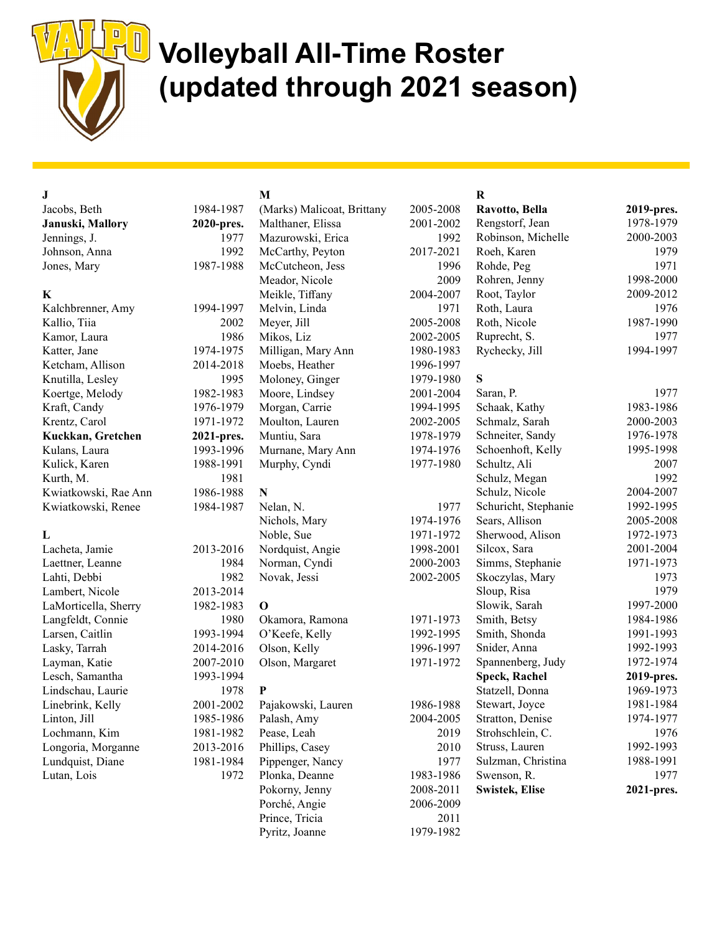

### U Volleyball All-Time Roster (updated through 2021 season)

| J                    |            | M                          |           | $\bf R$               |            |
|----------------------|------------|----------------------------|-----------|-----------------------|------------|
| Jacobs, Beth         | 1984-1987  | (Marks) Malicoat, Brittany | 2005-2008 | Ravotto, Bella        | 2019-pres. |
| Januski, Mallory     | 2020-pres. | Malthaner, Elissa          | 2001-2002 | Rengstorf, Jean       | 1978-1979  |
| Jennings, J.         | 1977       | Mazurowski, Erica          | 1992      | Robinson, Michelle    | 2000-2003  |
| Johnson, Anna        | 1992       | McCarthy, Peyton           | 2017-2021 | Roeh, Karen           | 1979       |
| Jones, Mary          | 1987-1988  | McCutcheon, Jess           | 1996      | Rohde, Peg            | 1971       |
|                      |            | Meador, Nicole             | 2009      | Rohren, Jenny         | 1998-2000  |
| $\bf K$              |            | Meikle, Tiffany            | 2004-2007 | Root, Taylor          | 2009-2012  |
| Kalchbrenner, Amy    | 1994-1997  | Melvin, Linda              | 1971      | Roth, Laura           | 1976       |
| Kallio, Tiia         | 2002       | Meyer, Jill                | 2005-2008 | Roth, Nicole          | 1987-1990  |
| Kamor, Laura         | 1986       | Mikos, Liz                 | 2002-2005 | Ruprecht, S.          | 1977       |
| Katter, Jane         | 1974-1975  | Milligan, Mary Ann         | 1980-1983 | Rychecky, Jill        | 1994-1997  |
| Ketcham, Allison     | 2014-2018  | Moebs, Heather             | 1996-1997 |                       |            |
| Knutilla, Lesley     | 1995       | Moloney, Ginger            | 1979-1980 | S                     |            |
| Koertge, Melody      | 1982-1983  | Moore, Lindsey             | 2001-2004 | Saran, P.             | 1977       |
| Kraft, Candy         | 1976-1979  | Morgan, Carrie             | 1994-1995 | Schaak, Kathy         | 1983-1986  |
| Krentz, Carol        | 1971-1972  | Moulton, Lauren            | 2002-2005 | Schmalz, Sarah        | 2000-2003  |
| Kuckkan, Gretchen    | 2021-pres. | Muntiu, Sara               | 1978-1979 | Schneiter, Sandy      | 1976-1978  |
| Kulans, Laura        | 1993-1996  | Murnane, Mary Ann          | 1974-1976 | Schoenhoft, Kelly     | 1995-1998  |
| Kulick, Karen        | 1988-1991  | Murphy, Cyndi              | 1977-1980 | Schultz, Ali          | 2007       |
| Kurth, M.            | 1981       |                            |           | Schulz, Megan         | 1992       |
| Kwiatkowski, Rae Ann | 1986-1988  | ${\bf N}$                  |           | Schulz, Nicole        | 2004-2007  |
| Kwiatkowski, Renee   | 1984-1987  | Nelan, N.                  | 1977      | Schuricht, Stephanie  | 1992-1995  |
|                      |            | Nichols, Mary              | 1974-1976 | Sears, Allison        | 2005-2008  |
| L                    |            | Noble, Sue                 | 1971-1972 | Sherwood, Alison      | 1972-1973  |
| Lacheta, Jamie       | 2013-2016  | Nordquist, Angie           | 1998-2001 | Silcox, Sara          | 2001-2004  |
| Laettner, Leanne     | 1984       | Norman, Cyndi              | 2000-2003 | Simms, Stephanie      | 1971-1973  |
| Lahti, Debbi         | 1982       | Novak, Jessi               | 2002-2005 | Skoczylas, Mary       | 1973       |
| Lambert, Nicole      | 2013-2014  |                            |           | Sloup, Risa           | 1979       |
| LaMorticella, Sherry | 1982-1983  | $\mathbf 0$                |           | Slowik, Sarah         | 1997-2000  |
| Langfeldt, Connie    | 1980       | Okamora, Ramona            | 1971-1973 | Smith, Betsy          | 1984-1986  |
| Larsen, Caitlin      | 1993-1994  | O'Keefe, Kelly             | 1992-1995 | Smith, Shonda         | 1991-1993  |
| Lasky, Tarrah        | 2014-2016  | Olson, Kelly               | 1996-1997 | Snider, Anna          | 1992-1993  |
| Layman, Katie        | 2007-2010  | Olson, Margaret            | 1971-1972 | Spannenberg, Judy     | 1972-1974  |
| Lesch, Samantha      | 1993-1994  |                            |           | <b>Speck, Rachel</b>  | 2019-pres. |
| Lindschau, Laurie    | 1978       | P                          |           | Statzell, Donna       | 1969-1973  |
| Linebrink, Kelly     | 2001-2002  | Pajakowski, Lauren         | 1986-1988 | Stewart, Joyce        | 1981-1984  |
| Linton, Jill         | 1985-1986  | Palash, Amy                | 2004-2005 | Stratton, Denise      | 1974-1977  |
| Lochmann, Kim        | 1981-1982  | Pease, Leah                | 2019      | Strohschlein, C.      | 1976       |
| Longoria, Morganne   | 2013-2016  | Phillips, Casey            | 2010      | Struss, Lauren        | 1992-1993  |
| Lundquist, Diane     | 1981-1984  | Pippenger, Nancy           | 1977      | Sulzman, Christina    | 1988-1991  |
| Lutan, Lois          | 1972       | Plonka, Deanne             | 1983-1986 | Swenson, R.           | 1977       |
|                      |            | Pokorny, Jenny             | 2008-2011 | <b>Swistek, Elise</b> | 2021-pres. |
|                      |            | Porché, Angie              | 2006-2009 |                       |            |
|                      |            | Prince, Tricia             | 2011      |                       |            |
|                      |            | Pyritz, Joanne             | 1979-1982 |                       |            |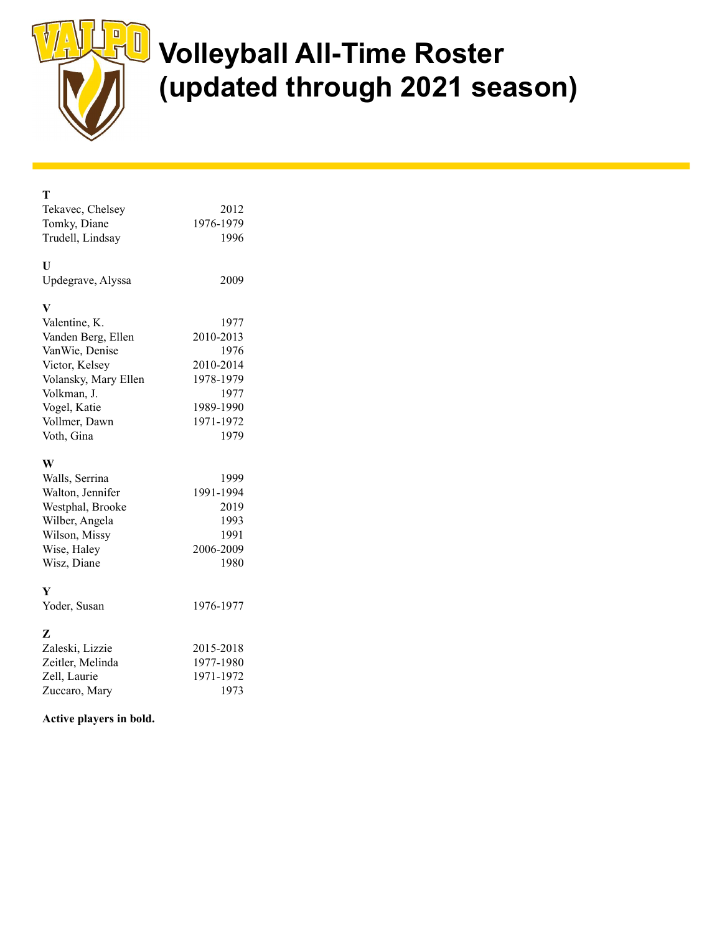

 $\mathbf{T}$ 

## **U** Volleyball All-Time Roster (updated through 2021 season)

| Tekavec, Chelsey<br>Tomky, Diane<br>Trudell, Lindsay | 2012<br>1976-1979<br>1996 |
|------------------------------------------------------|---------------------------|
| U<br>Updegrave, Alyssa                               | 2009                      |
| V                                                    |                           |
| Valentine, K.                                        | 1977                      |
| Vanden Berg, Ellen                                   | 2010-2013                 |
| VanWie, Denise                                       | 1976                      |
| Victor, Kelsey                                       | 2010-2014                 |
| Volansky, Mary Ellen                                 | 1978-1979                 |
| Volkman, J.                                          | 1977                      |
| Vogel, Katie                                         | 1989-1990                 |
| Vollmer, Dawn                                        | 1971-1972                 |
| Voth, Gina                                           | 1979                      |
|                                                      |                           |
|                                                      |                           |
| W                                                    |                           |
| Walls, Serrina                                       | 1999                      |
| Walton, Jennifer                                     | 1991-1994                 |
| Westphal, Brooke                                     | 2019                      |
| Wilber, Angela                                       | 1993                      |
| Wilson, Missy                                        | 1991                      |
| Wise, Haley                                          | 2006-2009                 |
| Wisz, Diane                                          | 1980                      |
| Y                                                    |                           |
| Yoder, Susan                                         | 1976-1977                 |
|                                                      |                           |
| z                                                    |                           |
| Zaleski, Lizzie                                      | 2015-2018                 |
| Zeitler, Melinda                                     | 1977-1980                 |
| Zell, Laurie<br>Zuccaro, Mary                        | 1971-1972<br>1973         |

### Active players in bold.